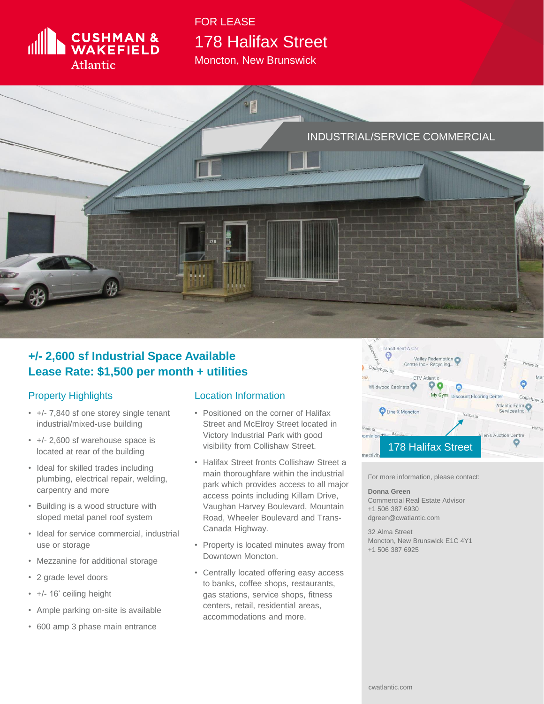

## 178 Halifax Street FOR LEASE

Moncton, New Brunswick



## **+/- 2,600 sf Industrial Space Available Lease Rate: \$1,500 per month + utilities**

## Property Highlights

- +/- 7,840 sf one storey single tenant industrial/mixed-use building
- +/- 2,600 sf warehouse space is located at rear of the building
- Ideal for skilled trades including plumbing, electrical repair, welding, carpentry and more
- Building is a wood structure with sloped metal panel roof system
- Ideal for service commercial, industrial use or storage
- Mezzanine for additional storage
- 2 grade level doors
- +/- 16' ceiling height
- Ample parking on-site is available
- 600 amp 3 phase main entrance

## Location Information

- Positioned on the corner of Halifax Street and McElroy Street located in Victory Industrial Park with good visibility from Collishaw Street.
- Halifax Street fronts Collishaw Street a main thoroughfare within the industrial park which provides access to all major access points including Killam Drive, Vaughan Harvey Boulevard, Mountain Road, Wheeler Boulevard and Trans-Canada Highway.
- Property is located minutes away from Downtown Moncton.
- Centrally located offering easy access to banks, coffee shops, restaurants, gas stations, service shops, fitness centers, retail, residential areas, accommodations and more.



For more information, please contact:

**Donna Green** Commercial Real Estate Advisor +1 506 387 6930 dgreen@cwatlantic.com

32 Alma Street Moncton, New Brunswick E1C 4Y1 +1 506 387 6925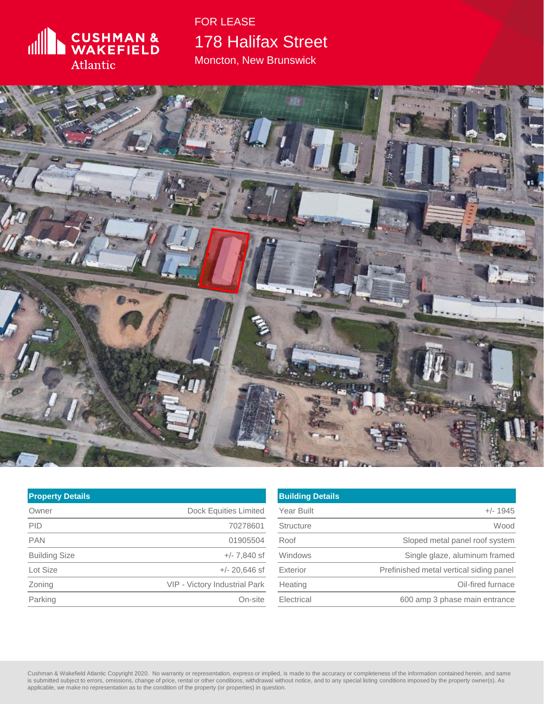

178 Halifax Street Moncton, New Brunswick FOR LEASE

DESCRIPTION TO A 1979

| <b>Property Details</b> |                                      |
|-------------------------|--------------------------------------|
| Owner                   | <b>Dock Equities Limited</b>         |
| <b>PID</b>              | 70278601                             |
| <b>PAN</b>              | 01905504                             |
| <b>Building Size</b>    | $+/- 7.840$ sf                       |
| Lot Size                | $+/- 20,646$ sf                      |
| Zoning                  | <b>VIP - Victory Industrial Park</b> |
| Parking                 | On-site                              |

| <b>Building Details</b> |                                         |
|-------------------------|-----------------------------------------|
| <b>Year Built</b>       | $+/- 1945$                              |
| <b>Structure</b>        | Wood                                    |
| Roof                    | Sloped metal panel roof system          |
| Windows                 | Single glaze, aluminum framed           |
| Exterior                | Prefinished metal vertical siding panel |
| Heating                 | Oil-fired furnace                       |
| Electrical              | 600 amp 3 phase main entrance           |

Cushman & Wakefield Atlantic Copyright 2020. No warranty or representation, express or implied, is made to the accuracy or completeness of the information contained herein, and same<br>is submitted subject to errors, omission applicable, we make no representation as to the condition of the property (or properties) in question.